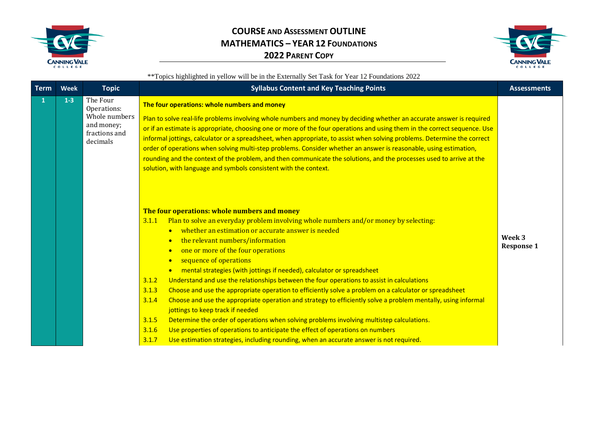



| <b>Term</b> | <b>Week</b> | <b>Topic</b>                                                                        | <b>Syllabus Content and Key Teaching Points</b>                                                                                                                                                                                                                                                                                                                                                                                                                                                                                                                                                                                                                                                                                                                                                                                                                                                                                                                                                                                                                                                                                      | <b>Assessments</b>          |
|-------------|-------------|-------------------------------------------------------------------------------------|--------------------------------------------------------------------------------------------------------------------------------------------------------------------------------------------------------------------------------------------------------------------------------------------------------------------------------------------------------------------------------------------------------------------------------------------------------------------------------------------------------------------------------------------------------------------------------------------------------------------------------------------------------------------------------------------------------------------------------------------------------------------------------------------------------------------------------------------------------------------------------------------------------------------------------------------------------------------------------------------------------------------------------------------------------------------------------------------------------------------------------------|-----------------------------|
| 1           | $1-3$       | The Four<br>Operations:<br>Whole numbers<br>and money;<br>fractions and<br>decimals | The four operations: whole numbers and money<br>Plan to solve real-life problems involving whole numbers and money by deciding whether an accurate answer is required<br>or if an estimate is appropriate, choosing one or more of the four operations and using them in the correct sequence. Use<br>informal jottings, calculator or a spreadsheet, when appropriate, to assist when solving problems. Determine the correct<br>order of operations when solving multi-step problems. Consider whether an answer is reasonable, using estimation,<br>rounding and the context of the problem, and then communicate the solutions, and the processes used to arrive at the<br>solution, with language and symbols consistent with the context.                                                                                                                                                                                                                                                                                                                                                                                      |                             |
|             |             |                                                                                     | The four operations: whole numbers and money<br>Plan to solve an everyday problem involving whole numbers and/or money by selecting:<br>3.1.1<br>• whether an estimation or accurate answer is needed<br>the relevant numbers/information<br>$\bullet$<br>one or more of the four operations<br>$\bullet$<br>sequence of operations<br>$\bullet$<br>mental strategies (with jottings if needed), calculator or spreadsheet<br>$\bullet$<br>3.1.2<br>Understand and use the relationships between the four operations to assist in calculations<br>3.1.3<br>Choose and use the appropriate operation to efficiently solve a problem on a calculator or spreadsheet<br>Choose and use the appropriate operation and strategy to efficiently solve a problem mentally, using informal<br>3.1.4<br>jottings to keep track if needed<br>Determine the order of operations when solving problems involving multistep calculations.<br>3.1.5<br>Use properties of operations to anticipate the effect of operations on numbers<br>3.1.6<br>Use estimation strategies, including rounding, when an accurate answer is not required.<br>3.1.7 | Week 3<br><b>Response 1</b> |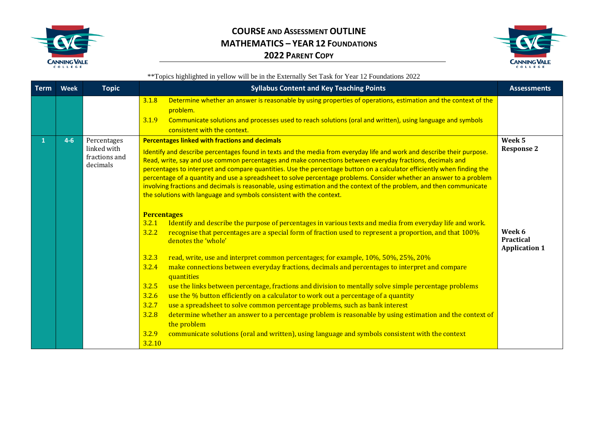



| <b>Term</b> | <b>Week</b> | <b>Topic</b>                                            | <b>Syllabus Content and Key Teaching Points</b>                                                                                                                                                                                                                                                                                                                                                                                                                                                                                                                                                                                                                                                                                                                                                                                                                                                                                                                                                                                                                                                                                                                                                                                                                                                                                                                                                                                                                                                                                                                                                                                                                                                | <b>Assessments</b>                                                                |
|-------------|-------------|---------------------------------------------------------|------------------------------------------------------------------------------------------------------------------------------------------------------------------------------------------------------------------------------------------------------------------------------------------------------------------------------------------------------------------------------------------------------------------------------------------------------------------------------------------------------------------------------------------------------------------------------------------------------------------------------------------------------------------------------------------------------------------------------------------------------------------------------------------------------------------------------------------------------------------------------------------------------------------------------------------------------------------------------------------------------------------------------------------------------------------------------------------------------------------------------------------------------------------------------------------------------------------------------------------------------------------------------------------------------------------------------------------------------------------------------------------------------------------------------------------------------------------------------------------------------------------------------------------------------------------------------------------------------------------------------------------------------------------------------------------------|-----------------------------------------------------------------------------------|
|             |             |                                                         | Determine whether an answer is reasonable by using properties of operations, estimation and the context of the<br>3.1.8<br>problem.<br>Communicate solutions and processes used to reach solutions (oral and written), using language and symbols<br>3.1.9<br>consistent with the context.                                                                                                                                                                                                                                                                                                                                                                                                                                                                                                                                                                                                                                                                                                                                                                                                                                                                                                                                                                                                                                                                                                                                                                                                                                                                                                                                                                                                     |                                                                                   |
|             | $4-6$       | Percentages<br>linked with<br>fractions and<br>decimals | <b>Percentages linked with fractions and decimals</b><br>Identify and describe percentages found in texts and the media from everyday life and work and describe their purpose.<br>Read, write, say and use common percentages and make connections between everyday fractions, decimals and<br>percentages to interpret and compare quantities. Use the percentage button on a calculator efficiently when finding the<br>percentage of a quantity and use a spreadsheet to solve percentage problems. Consider whether an answer to a problem<br>involving fractions and decimals is reasonable, using estimation and the context of the problem, and then communicate<br>the solutions with language and symbols consistent with the context.<br><b>Percentages</b><br>Identify and describe the purpose of percentages in various texts and media from everyday life and work.<br>3.2.1<br>recognise that percentages are a special form of fraction used to represent a proportion, and that 100%<br>3.2.2<br>denotes the 'whole'<br>3.2.3<br>read, write, use and interpret common percentages; for example, 10%, 50%, 25%, 20%<br>make connections between everyday fractions, decimals and percentages to interpret and compare<br>3.2.4<br>quantities<br>3.2.5<br>use the links between percentage, fractions and division to mentally solve simple percentage problems<br>use the % button efficiently on a calculator to work out a percentage of a quantity<br>3.2.6<br>use a spreadsheet to solve common percentage problems, such as bank interest<br>3.2.7<br>determine whether an answer to a percentage problem is reasonable by using estimation and the context of<br>3.2.8 | Week 5<br><b>Response 2</b><br>Week 6<br><b>Practical</b><br><b>Application 1</b> |
|             |             |                                                         | the problem<br>3.2.9<br>communicate solutions (oral and written), using language and symbols consistent with the context<br>3.2.10                                                                                                                                                                                                                                                                                                                                                                                                                                                                                                                                                                                                                                                                                                                                                                                                                                                                                                                                                                                                                                                                                                                                                                                                                                                                                                                                                                                                                                                                                                                                                             |                                                                                   |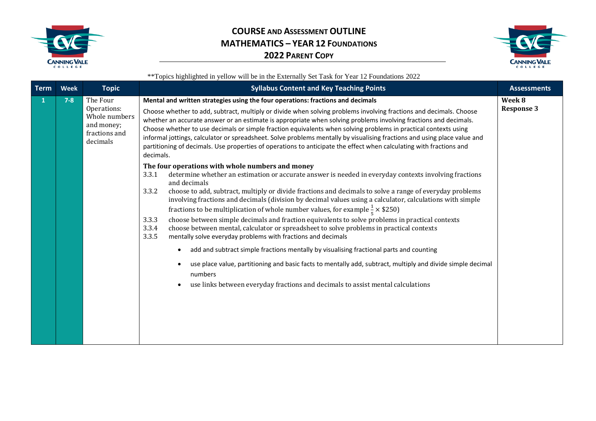



| <b>Term</b> | <b>Week</b> | <b>Topic</b>                                                                        | <b>Syllabus Content and Key Teaching Points</b>                                                                                                                                                                                                                                                                                                                                                                                                                                                                                                                                                                                                                                                                                                                                                                                                                                                                                                                                                                                                                                                                                                                                                                                                                                                                                                                                                                                                                                                                                                                                                                                                                                                                                                                                                                                          | <b>Assessments</b>          |
|-------------|-------------|-------------------------------------------------------------------------------------|------------------------------------------------------------------------------------------------------------------------------------------------------------------------------------------------------------------------------------------------------------------------------------------------------------------------------------------------------------------------------------------------------------------------------------------------------------------------------------------------------------------------------------------------------------------------------------------------------------------------------------------------------------------------------------------------------------------------------------------------------------------------------------------------------------------------------------------------------------------------------------------------------------------------------------------------------------------------------------------------------------------------------------------------------------------------------------------------------------------------------------------------------------------------------------------------------------------------------------------------------------------------------------------------------------------------------------------------------------------------------------------------------------------------------------------------------------------------------------------------------------------------------------------------------------------------------------------------------------------------------------------------------------------------------------------------------------------------------------------------------------------------------------------------------------------------------------------|-----------------------------|
|             | $7 - 8$     | The Four<br>Operations:<br>Whole numbers<br>and money;<br>fractions and<br>decimals | Mental and written strategies using the four operations: fractions and decimals<br>Choose whether to add, subtract, multiply or divide when solving problems involving fractions and decimals. Choose<br>whether an accurate answer or an estimate is appropriate when solving problems involving fractions and decimals.<br>Choose whether to use decimals or simple fraction equivalents when solving problems in practical contexts using<br>informal jottings, calculator or spreadsheet. Solve problems mentally by visualising fractions and using place value and<br>partitioning of decimals. Use properties of operations to anticipate the effect when calculating with fractions and<br>decimals.<br>The four operations with whole numbers and money<br>3.3.1<br>determine whether an estimation or accurate answer is needed in everyday contexts involving fractions<br>and decimals<br>choose to add, subtract, multiply or divide fractions and decimals to solve a range of everyday problems<br>3.3.2<br>involving fractions and decimals (division by decimal values using a calculator, calculations with simple<br>fractions to be multiplication of whole number values, for example $\frac{1}{5} \times $250$ )<br>choose between simple decimals and fraction equivalents to solve problems in practical contexts<br>3.3.3<br>choose between mental, calculator or spreadsheet to solve problems in practical contexts<br>3.3.4<br>3.3.5<br>mentally solve everyday problems with fractions and decimals<br>add and subtract simple fractions mentally by visualising fractional parts and counting<br>use place value, partitioning and basic facts to mentally add, subtract, multiply and divide simple decimal<br>numbers<br>use links between everyday fractions and decimals to assist mental calculations | Week 8<br><b>Response 3</b> |
|             |             |                                                                                     |                                                                                                                                                                                                                                                                                                                                                                                                                                                                                                                                                                                                                                                                                                                                                                                                                                                                                                                                                                                                                                                                                                                                                                                                                                                                                                                                                                                                                                                                                                                                                                                                                                                                                                                                                                                                                                          |                             |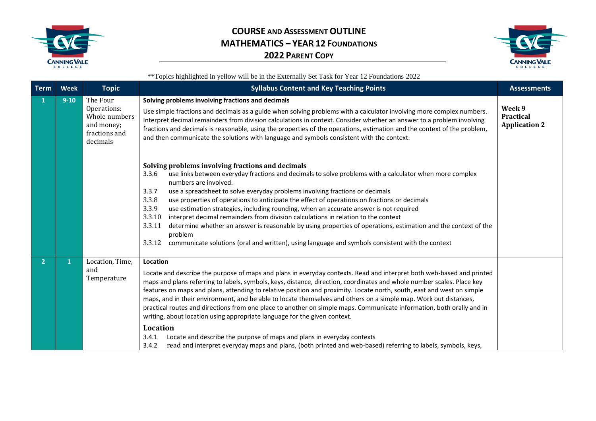



| <b>Term</b>    | <b>Week</b> | <b>Topic</b>                                                                        | <b>Syllabus Content and Key Teaching Points</b>                                                                                                                                                                                                                                                                                                                                                                                                                                                                                                                                                                                                                                                                                                                                                                                                                                                                                         | <b>Assessments</b>                                 |
|----------------|-------------|-------------------------------------------------------------------------------------|-----------------------------------------------------------------------------------------------------------------------------------------------------------------------------------------------------------------------------------------------------------------------------------------------------------------------------------------------------------------------------------------------------------------------------------------------------------------------------------------------------------------------------------------------------------------------------------------------------------------------------------------------------------------------------------------------------------------------------------------------------------------------------------------------------------------------------------------------------------------------------------------------------------------------------------------|----------------------------------------------------|
| 1              | $9 - 10$    | The Four<br>Operations:<br>Whole numbers<br>and money;<br>fractions and<br>decimals | Solving problems involving fractions and decimals<br>Use simple fractions and decimals as a guide when solving problems with a calculator involving more complex numbers.<br>Interpret decimal remainders from division calculations in context. Consider whether an answer to a problem involving<br>fractions and decimals is reasonable, using the properties of the operations, estimation and the context of the problem,<br>and then communicate the solutions with language and symbols consistent with the context.<br>Solving problems involving fractions and decimals                                                                                                                                                                                                                                                                                                                                                        | Week 9<br><b>Practical</b><br><b>Application 2</b> |
|                |             |                                                                                     | use links between everyday fractions and decimals to solve problems with a calculator when more complex<br>3.3.6<br>numbers are involved.<br>use a spreadsheet to solve everyday problems involving fractions or decimals<br>3.3.7<br>3.3.8<br>use properties of operations to anticipate the effect of operations on fractions or decimals<br>3.3.9<br>use estimation strategies, including rounding, when an accurate answer is not required<br>3.3.10<br>interpret decimal remainders from division calculations in relation to the context<br>3.3.11<br>determine whether an answer is reasonable by using properties of operations, estimation and the context of the<br>problem<br>3.3.12<br>communicate solutions (oral and written), using language and symbols consistent with the context                                                                                                                                     |                                                    |
| $\overline{2}$ | 1           | Location, Time,<br>and<br>Temperature                                               | Location<br>Locate and describe the purpose of maps and plans in everyday contexts. Read and interpret both web-based and printed<br>maps and plans referring to labels, symbols, keys, distance, direction, coordinates and whole number scales. Place key<br>features on maps and plans, attending to relative position and proximity. Locate north, south, east and west on simple<br>maps, and in their environment, and be able to locate themselves and others on a simple map. Work out distances,<br>practical routes and directions from one place to another on simple maps. Communicate information, both orally and in<br>writing, about location using appropriate language for the given context.<br>Location<br>Locate and describe the purpose of maps and plans in everyday contexts<br>3.4.1<br>read and interpret everyday maps and plans, (both printed and web-based) referring to labels, symbols, keys,<br>3.4.2 |                                                    |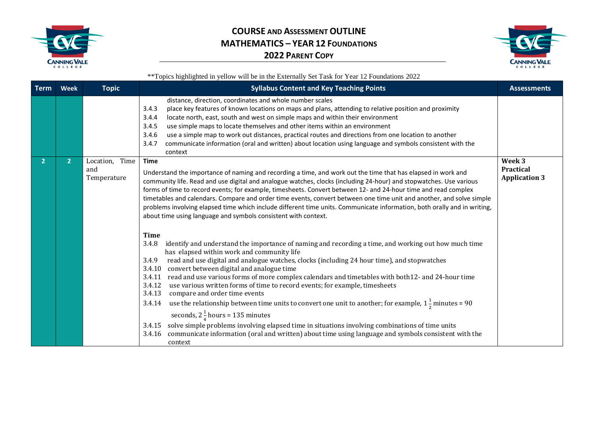



| Term | <b>Week</b>    | <b>Topic</b>                            | <b>Syllabus Content and Key Teaching Points</b>                                                                                                                                                                                                                                                                                                                                                                                                                                                                                                                                                                                                                                                                                                                                                                                                                                                                                                                                                                                                                                                                                                                                                                                                                                                                                                                                                                                                                                                                                                                                                                                                                                                      | <b>Assessments</b>                                 |
|------|----------------|-----------------------------------------|------------------------------------------------------------------------------------------------------------------------------------------------------------------------------------------------------------------------------------------------------------------------------------------------------------------------------------------------------------------------------------------------------------------------------------------------------------------------------------------------------------------------------------------------------------------------------------------------------------------------------------------------------------------------------------------------------------------------------------------------------------------------------------------------------------------------------------------------------------------------------------------------------------------------------------------------------------------------------------------------------------------------------------------------------------------------------------------------------------------------------------------------------------------------------------------------------------------------------------------------------------------------------------------------------------------------------------------------------------------------------------------------------------------------------------------------------------------------------------------------------------------------------------------------------------------------------------------------------------------------------------------------------------------------------------------------------|----------------------------------------------------|
|      |                |                                         | distance, direction, coordinates and whole number scales<br>place key features of known locations on maps and plans, attending to relative position and proximity<br>3.4.3<br>3.4.4<br>locate north, east, south and west on simple maps and within their environment<br>use simple maps to locate themselves and other items within an environment<br>3.4.5<br>use a simple map to work out distances, practical routes and directions from one location to another<br>3.4.6<br>communicate information (oral and written) about location using language and symbols consistent with the<br>3.4.7<br>context                                                                                                                                                                                                                                                                                                                                                                                                                                                                                                                                                                                                                                                                                                                                                                                                                                                                                                                                                                                                                                                                                        |                                                    |
|      | $\overline{2}$ | Time<br>Location,<br>and<br>Temperature | <b>Time</b><br>Understand the importance of naming and recording a time, and work out the time that has elapsed in work and<br>community life. Read and use digital and analogue watches, clocks (including 24-hour) and stopwatches. Use various<br>forms of time to record events; for example, timesheets. Convert between 12- and 24-hour time and read complex<br>timetables and calendars. Compare and order time events, convert between one time unit and another, and solve simple<br>problems involving elapsed time which include different time units. Communicate information, both orally and in writing,<br>about time using language and symbols consistent with context.<br><b>Time</b><br>identify and understand the importance of naming and recording a time, and working out how much time<br>3.4.8<br>has elapsed within work and community life<br>read and use digital and analogue watches, clocks (including 24 hour time), and stopwatches<br>3.4.9<br>3.4.10 convert between digital and analogue time<br>3.4.11 read and use various forms of more complex calendars and timetables with both12- and 24-hour time<br>use various written forms of time to record events; for example, timesheets<br>3.4.12<br>compare and order time events<br>3.4.13<br>use the relationship between time units to convert one unit to another; for example, $1\frac{1}{2}$ minutes = 90<br>3.4.14<br>seconds, $2\frac{1}{4}$ hours = 135 minutes<br>3.4.15 solve simple problems involving elapsed time in situations involving combinations of time units<br>3.4.16 communicate information (oral and written) about time using language and symbols consistent with the<br>context | Week 3<br><b>Practical</b><br><b>Application 3</b> |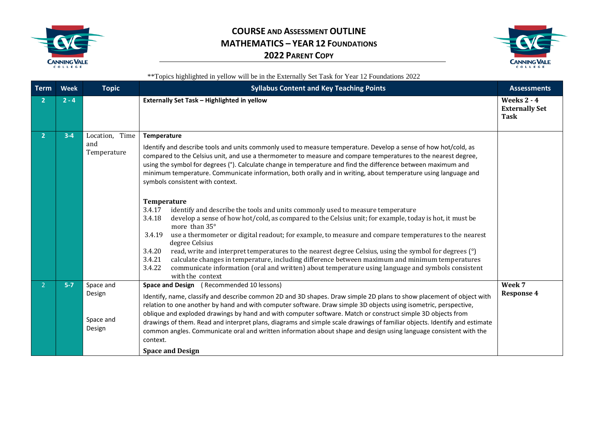



| <b>Term</b>    | <b>Week</b> | <b>Topic</b>                               | <b>Syllabus Content and Key Teaching Points</b>                                                                                                                                                                                                                                                                                                                                                                                                                                                                                                                                                                                                                                                                                                                                                                                                                                                                                                                                                                                                                                                                                                                                                                                                                                    | <b>Assessments</b>                                         |
|----------------|-------------|--------------------------------------------|------------------------------------------------------------------------------------------------------------------------------------------------------------------------------------------------------------------------------------------------------------------------------------------------------------------------------------------------------------------------------------------------------------------------------------------------------------------------------------------------------------------------------------------------------------------------------------------------------------------------------------------------------------------------------------------------------------------------------------------------------------------------------------------------------------------------------------------------------------------------------------------------------------------------------------------------------------------------------------------------------------------------------------------------------------------------------------------------------------------------------------------------------------------------------------------------------------------------------------------------------------------------------------|------------------------------------------------------------|
| $\mathbf{c}$   | $2 - 4$     |                                            | Externally Set Task - Highlighted in yellow                                                                                                                                                                                                                                                                                                                                                                                                                                                                                                                                                                                                                                                                                                                                                                                                                                                                                                                                                                                                                                                                                                                                                                                                                                        | <b>Weeks 2 - 4</b><br><b>Externally Set</b><br><b>Task</b> |
| $\overline{2}$ | $3 - 4$     | Location,<br>Time<br>and<br>Temperature    | Temperature<br>Identify and describe tools and units commonly used to measure temperature. Develop a sense of how hot/cold, as<br>compared to the Celsius unit, and use a thermometer to measure and compare temperatures to the nearest degree,<br>using the symbol for degrees (°). Calculate change in temperature and find the difference between maximum and<br>minimum temperature. Communicate information, both orally and in writing, about temperature using language and<br>symbols consistent with context.<br>Temperature<br>identify and describe the tools and units commonly used to measure temperature<br>3.4.17<br>develop a sense of how hot/cold, as compared to the Celsius unit; for example, today is hot, it must be<br>3.4.18<br>more than 35°<br>use a thermometer or digital readout; for example, to measure and compare temperatures to the nearest<br>3.4.19<br>degree Celsius<br>read, write and interpret temperatures to the nearest degree Celsius, using the symbol for degrees (°)<br>3.4.20<br>calculate changes in temperature, including difference between maximum and minimum temperatures<br>3.4.21<br>communicate information (oral and written) about temperature using language and symbols consistent<br>3.4.22<br>with the context |                                                            |
| $\mathcal{P}$  | $5 - 7$     | Space and<br>Design<br>Space and<br>Design | Space and Design (Recommended 10 lessons)<br>Identify, name, classify and describe common 2D and 3D shapes. Draw simple 2D plans to show placement of object with<br>relation to one another by hand and with computer software. Draw simple 3D objects using isometric, perspective,<br>oblique and exploded drawings by hand and with computer software. Match or construct simple 3D objects from<br>drawings of them. Read and interpret plans, diagrams and simple scale drawings of familiar objects. Identify and estimate<br>common angles. Communicate oral and written information about shape and design using language consistent with the<br>context.<br><b>Space and Design</b>                                                                                                                                                                                                                                                                                                                                                                                                                                                                                                                                                                                      | Week 7<br><b>Response 4</b>                                |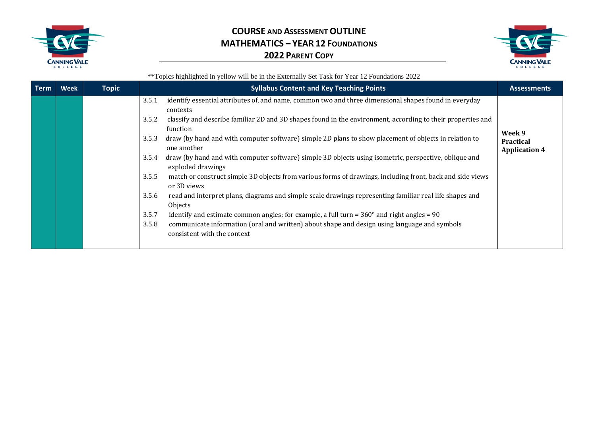



| <b>Term</b> | Week | <b>Topic</b> | <b>Syllabus Content and Key Teaching Points</b>                                                                                      | <b>Assessments</b>                                 |
|-------------|------|--------------|--------------------------------------------------------------------------------------------------------------------------------------|----------------------------------------------------|
|             |      |              | identify essential attributes of, and name, common two and three dimensional shapes found in everyday<br>3.5.1<br>contexts           |                                                    |
|             |      |              | classify and describe familiar 2D and 3D shapes found in the environment, according to their properties and<br>3.5.2<br>function     |                                                    |
|             |      |              | draw (by hand and with computer software) simple 2D plans to show placement of objects in relation to<br>3.5.3<br>one another        | Week 9<br><b>Practical</b><br><b>Application 4</b> |
|             |      |              | draw (by hand and with computer software) simple 3D objects using isometric, perspective, oblique and<br>3.5.4<br>exploded drawings  |                                                    |
|             |      |              | match or construct simple 3D objects from various forms of drawings, including front, back and side views<br>3.5.5<br>or 3D views    |                                                    |
|             |      |              | read and interpret plans, diagrams and simple scale drawings representing familiar real life shapes and<br>3.5.6<br>Objects          |                                                    |
|             |      |              | 3.5.7<br>identify and estimate common angles; for example, a full turn = $360^{\circ}$ and right angles = 90                         |                                                    |
|             |      |              | 3.5.8<br>communicate information (oral and written) about shape and design using language and symbols<br>consistent with the context |                                                    |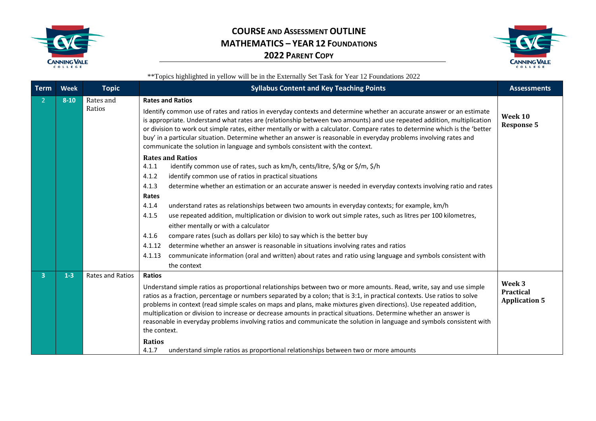



| <b>Term</b>             | Week     | <b>Topic</b>     | <b>Syllabus Content and Key Teaching Points</b>                                                                                                                                                                                                                                                                                                                                                                                                                                                                                                                                                                                       | <b>Assessments</b>                                 |
|-------------------------|----------|------------------|---------------------------------------------------------------------------------------------------------------------------------------------------------------------------------------------------------------------------------------------------------------------------------------------------------------------------------------------------------------------------------------------------------------------------------------------------------------------------------------------------------------------------------------------------------------------------------------------------------------------------------------|----------------------------------------------------|
| 2                       | $8 - 10$ | Rates and        | <b>Rates and Ratios</b>                                                                                                                                                                                                                                                                                                                                                                                                                                                                                                                                                                                                               |                                                    |
|                         |          | Ratios           | Identify common use of rates and ratios in everyday contexts and determine whether an accurate answer or an estimate<br>is appropriate. Understand what rates are (relationship between two amounts) and use repeated addition, multiplication<br>or division to work out simple rates, either mentally or with a calculator. Compare rates to determine which is the 'better<br>buy' in a particular situation. Determine whether an answer is reasonable in everyday problems involving rates and<br>communicate the solution in language and symbols consistent with the context.                                                  | Week 10<br><b>Response 5</b>                       |
|                         |          |                  | <b>Rates and Ratios</b>                                                                                                                                                                                                                                                                                                                                                                                                                                                                                                                                                                                                               |                                                    |
|                         |          |                  | identify common use of rates, such as km/h, cents/litre, \$/kg or \$/m, \$/h<br>4.1.1                                                                                                                                                                                                                                                                                                                                                                                                                                                                                                                                                 |                                                    |
|                         |          |                  | identify common use of ratios in practical situations<br>4.1.2                                                                                                                                                                                                                                                                                                                                                                                                                                                                                                                                                                        |                                                    |
|                         |          |                  | 4.1.3<br>determine whether an estimation or an accurate answer is needed in everyday contexts involving ratio and rates<br>Rates                                                                                                                                                                                                                                                                                                                                                                                                                                                                                                      |                                                    |
|                         |          |                  | 4.1.4<br>understand rates as relationships between two amounts in everyday contexts; for example, km/h                                                                                                                                                                                                                                                                                                                                                                                                                                                                                                                                |                                                    |
|                         |          |                  | 4.1.5<br>use repeated addition, multiplication or division to work out simple rates, such as litres per 100 kilometres,                                                                                                                                                                                                                                                                                                                                                                                                                                                                                                               |                                                    |
|                         |          |                  | either mentally or with a calculator                                                                                                                                                                                                                                                                                                                                                                                                                                                                                                                                                                                                  |                                                    |
|                         |          |                  | compare rates (such as dollars per kilo) to say which is the better buy<br>4.1.6                                                                                                                                                                                                                                                                                                                                                                                                                                                                                                                                                      |                                                    |
|                         |          |                  | determine whether an answer is reasonable in situations involving rates and ratios<br>4.1.12                                                                                                                                                                                                                                                                                                                                                                                                                                                                                                                                          |                                                    |
|                         |          |                  | communicate information (oral and written) about rates and ratio using language and symbols consistent with<br>4.1.13                                                                                                                                                                                                                                                                                                                                                                                                                                                                                                                 |                                                    |
|                         |          |                  | the context                                                                                                                                                                                                                                                                                                                                                                                                                                                                                                                                                                                                                           |                                                    |
| $\overline{\mathbf{3}}$ | $1 - 3$  | Rates and Ratios | <b>Ratios</b>                                                                                                                                                                                                                                                                                                                                                                                                                                                                                                                                                                                                                         |                                                    |
|                         |          |                  | Understand simple ratios as proportional relationships between two or more amounts. Read, write, say and use simple<br>ratios as a fraction, percentage or numbers separated by a colon; that is 3:1, in practical contexts. Use ratios to solve<br>problems in context (read simple scales on maps and plans, make mixtures given directions). Use repeated addition,<br>multiplication or division to increase or decrease amounts in practical situations. Determine whether an answer is<br>reasonable in everyday problems involving ratios and communicate the solution in language and symbols consistent with<br>the context. | Week 3<br><b>Practical</b><br><b>Application 5</b> |
|                         |          |                  | <b>Ratios</b><br>4.1.7<br>understand simple ratios as proportional relationships between two or more amounts                                                                                                                                                                                                                                                                                                                                                                                                                                                                                                                          |                                                    |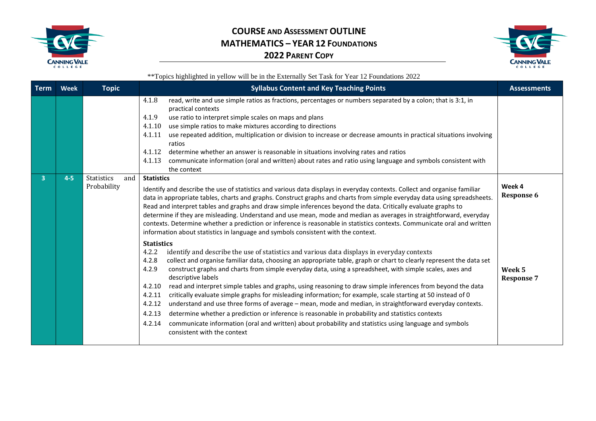



| <b>Term</b> | Week    | <b>Topic</b>                            | <b>Syllabus Content and Key Teaching Points</b>                                                                                                                                                                                                                                                                                                                                                                                                                                                                                                                                                                                                                                                                                                                                                                                                                                                                                                                                                                                                                                                                                                                                                                                                                                                                                                                                                                                                                                                                                                                                                                                                                                                                                                                                       | <b>Assessments</b>                                         |
|-------------|---------|-----------------------------------------|---------------------------------------------------------------------------------------------------------------------------------------------------------------------------------------------------------------------------------------------------------------------------------------------------------------------------------------------------------------------------------------------------------------------------------------------------------------------------------------------------------------------------------------------------------------------------------------------------------------------------------------------------------------------------------------------------------------------------------------------------------------------------------------------------------------------------------------------------------------------------------------------------------------------------------------------------------------------------------------------------------------------------------------------------------------------------------------------------------------------------------------------------------------------------------------------------------------------------------------------------------------------------------------------------------------------------------------------------------------------------------------------------------------------------------------------------------------------------------------------------------------------------------------------------------------------------------------------------------------------------------------------------------------------------------------------------------------------------------------------------------------------------------------|------------------------------------------------------------|
|             |         |                                         | 4.1.8<br>read, write and use simple ratios as fractions, percentages or numbers separated by a colon; that is 3:1, in<br>practical contexts<br>4.1.9<br>use ratio to interpret simple scales on maps and plans<br>4.1.10<br>use simple ratios to make mixtures according to directions<br>use repeated addition, multiplication or division to increase or decrease amounts in practical situations involving<br>4.1.11<br>ratios<br>4.1.12<br>determine whether an answer is reasonable in situations involving rates and ratios<br>communicate information (oral and written) about rates and ratio using language and symbols consistent with<br>4.1.13<br>the context                                                                                                                                                                                                                                                                                                                                                                                                                                                                                                                                                                                                                                                                                                                                                                                                                                                                                                                                                                                                                                                                                                             |                                                            |
| 3.          | $4 - 5$ | <b>Statistics</b><br>and<br>Probability | <b>Statistics</b><br>Identify and describe the use of statistics and various data displays in everyday contexts. Collect and organise familiar<br>data in appropriate tables, charts and graphs. Construct graphs and charts from simple everyday data using spreadsheets.<br>Read and interpret tables and graphs and draw simple inferences beyond the data. Critically evaluate graphs to<br>determine if they are misleading. Understand and use mean, mode and median as averages in straightforward, everyday<br>contexts. Determine whether a prediction or inference is reasonable in statistics contexts. Communicate oral and written<br>information about statistics in language and symbols consistent with the context.<br><b>Statistics</b><br>identify and describe the use of statistics and various data displays in everyday contexts<br>4.2.2<br>collect and organise familiar data, choosing an appropriate table, graph or chart to clearly represent the data set<br>4.2.8<br>4.2.9<br>construct graphs and charts from simple everyday data, using a spreadsheet, with simple scales, axes and<br>descriptive labels<br>read and interpret simple tables and graphs, using reasoning to draw simple inferences from beyond the data<br>4.2.10<br>critically evaluate simple graphs for misleading information; for example, scale starting at 50 instead of 0<br>4.2.11<br>understand and use three forms of average - mean, mode and median, in straightforward everyday contexts.<br>4.2.12<br>determine whether a prediction or inference is reasonable in probability and statistics contexts<br>4.2.13<br>communicate information (oral and written) about probability and statistics using language and symbols<br>4.2.14<br>consistent with the context | Week 4<br><b>Response 6</b><br>Week 5<br><b>Response 7</b> |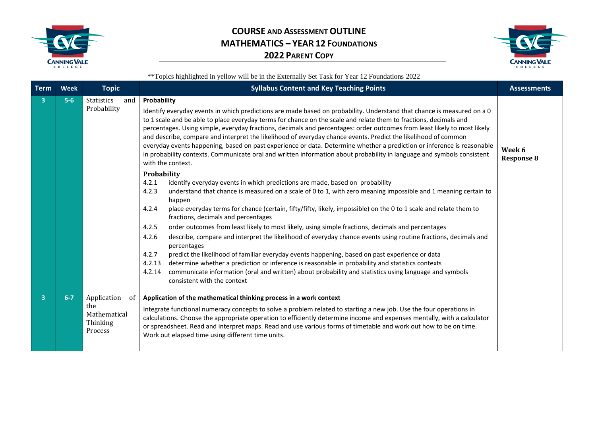



| <b>Term</b>             | <b>Week</b> | <b>Topic</b>                                                    | <b>Syllabus Content and Key Teaching Points</b>                                                                                                                                                                                                                                                                                                                                                                                                                                                                                                                                                                                                                                                                                                                                                                                                                                                                                                                                                                                                    | <b>Assessments</b>          |
|-------------------------|-------------|-----------------------------------------------------------------|----------------------------------------------------------------------------------------------------------------------------------------------------------------------------------------------------------------------------------------------------------------------------------------------------------------------------------------------------------------------------------------------------------------------------------------------------------------------------------------------------------------------------------------------------------------------------------------------------------------------------------------------------------------------------------------------------------------------------------------------------------------------------------------------------------------------------------------------------------------------------------------------------------------------------------------------------------------------------------------------------------------------------------------------------|-----------------------------|
| 3                       | $5-6$       | <b>Statistics</b><br>and<br>Probability                         | Probability<br>Identify everyday events in which predictions are made based on probability. Understand that chance is measured on a 0<br>to 1 scale and be able to place everyday terms for chance on the scale and relate them to fractions, decimals and<br>percentages. Using simple, everyday fractions, decimals and percentages: order outcomes from least likely to most likely<br>and describe, compare and interpret the likelihood of everyday chance events. Predict the likelihood of common<br>everyday events happening, based on past experience or data. Determine whether a prediction or inference is reasonable<br>in probability contexts. Communicate oral and written information about probability in language and symbols consistent<br>with the context.                                                                                                                                                                                                                                                                  | Week 6<br><b>Response 8</b> |
|                         |             |                                                                 | Probability<br>4.2.1<br>identify everyday events in which predictions are made, based on probability<br>4.2.3<br>understand that chance is measured on a scale of 0 to 1, with zero meaning impossible and 1 meaning certain to<br>happen<br>place everyday terms for chance (certain, fifty/fifty, likely, impossible) on the 0 to 1 scale and relate them to<br>4.2.4<br>fractions, decimals and percentages<br>4.2.5<br>order outcomes from least likely to most likely, using simple fractions, decimals and percentages<br>describe, compare and interpret the likelihood of everyday chance events using routine fractions, decimals and<br>4.2.6<br>percentages<br>predict the likelihood of familiar everyday events happening, based on past experience or data<br>4.2.7<br>determine whether a prediction or inference is reasonable in probability and statistics contexts<br>4.2.13<br>4.2.14<br>communicate information (oral and written) about probability and statistics using language and symbols<br>consistent with the context |                             |
| $\overline{\mathbf{3}}$ | $6 - 7$     | Application<br>of<br>the<br>Mathematical<br>Thinking<br>Process | Application of the mathematical thinking process in a work context<br>Integrate functional numeracy concepts to solve a problem related to starting a new job. Use the four operations in<br>calculations. Choose the appropriate operation to efficiently determine income and expenses mentally, with a calculator<br>or spreadsheet. Read and interpret maps. Read and use various forms of timetable and work out how to be on time.<br>Work out elapsed time using different time units.                                                                                                                                                                                                                                                                                                                                                                                                                                                                                                                                                      |                             |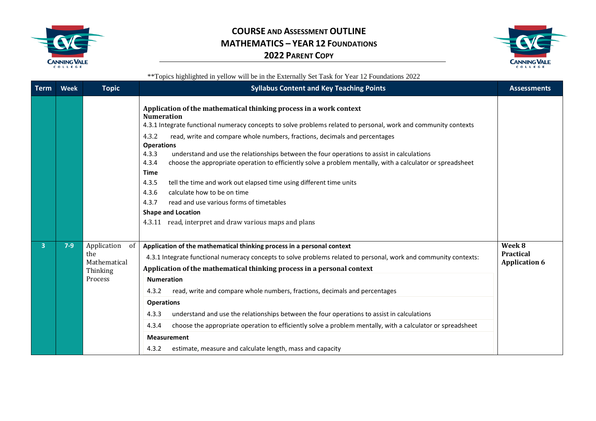



| <b>Term</b> | Week  | <b>Topic</b>                                                    | <b>Syllabus Content and Key Teaching Points</b>                                                                                                                                                                                                                                                                                                                                                                                                                                                                                                                                                                                                                                                                                                                                                                                        | <b>Assessments</b>                                 |
|-------------|-------|-----------------------------------------------------------------|----------------------------------------------------------------------------------------------------------------------------------------------------------------------------------------------------------------------------------------------------------------------------------------------------------------------------------------------------------------------------------------------------------------------------------------------------------------------------------------------------------------------------------------------------------------------------------------------------------------------------------------------------------------------------------------------------------------------------------------------------------------------------------------------------------------------------------------|----------------------------------------------------|
|             |       |                                                                 | Application of the mathematical thinking process in a work context<br><b>Numeration</b><br>4.3.1 Integrate functional numeracy concepts to solve problems related to personal, work and community contexts<br>4.3.2<br>read, write and compare whole numbers, fractions, decimals and percentages<br><b>Operations</b><br>understand and use the relationships between the four operations to assist in calculations<br>4.3.3<br>choose the appropriate operation to efficiently solve a problem mentally, with a calculator or spreadsheet<br>4.3.4<br><b>Time</b><br>tell the time and work out elapsed time using different time units<br>4.3.5<br>calculate how to be on time<br>4.3.6<br>4.3.7<br>read and use various forms of timetables<br><b>Shape and Location</b><br>4.3.11 read, interpret and draw various maps and plans |                                                    |
| 3           | $7-9$ | Application<br>of<br>the<br>Mathematical<br>Thinking<br>Process | Application of the mathematical thinking process in a personal context<br>4.3.1 Integrate functional numeracy concepts to solve problems related to personal, work and community contexts:<br>Application of the mathematical thinking process in a personal context<br><b>Numeration</b><br>read, write and compare whole numbers, fractions, decimals and percentages<br>4.3.2<br><b>Operations</b><br>understand and use the relationships between the four operations to assist in calculations<br>4.3.3<br>choose the appropriate operation to efficiently solve a problem mentally, with a calculator or spreadsheet<br>4.3.4<br><b>Measurement</b><br>4.3.2<br>estimate, measure and calculate length, mass and capacity                                                                                                        | Week 8<br><b>Practical</b><br><b>Application 6</b> |